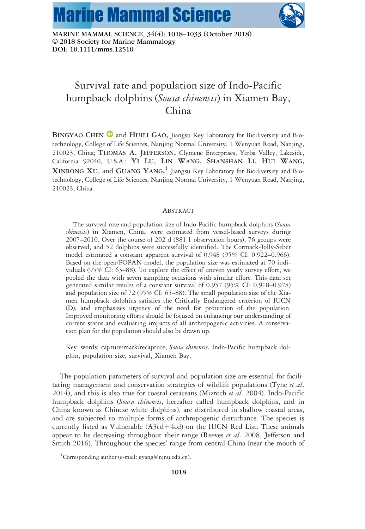



MARINE MAMMAL SCIENCE, 34(4): 1018-1033 (October 2018) © 2018 Society for Marine Mammalogy DOI: 10.1111/mms.12510

# Survival rate and population size of Indo-Pacific humpback dolphins (Sousa chinensis) in Xiamen Bay, China

BINGYAO CHEN  $\bullet$  and HUILI GAO, Jiangsu Key Laboratory for Biodiversity and Biotechnology, College of Life Sciences, Nanjing Normal University, 1 Wenyuan Road, Nanjing, 210023, China; THOMAS A. JEFFERSON, Clymene Enterprises, Yerba Valley, Lakeside, California 92040, U.S.A.; YI LU, LIN WANG, SHANSHAN LI, HUI WANG,  $X$ INRONG  $X$ U, and  $G$ UANG  $Y$ ANG,  $^1$  Jiangsu Key Laboratory for Biodiversity and Biotechnology, College of Life Sciences, Nanjing Normal University, 1 Wenyuan Road, Nanjing, 210023, China.

# ABSTRACT

The survival rate and population size of Indo-Pacific humpback dolphins (Sousa chinensis) in Xiamen, China, were estimated from vessel-based surveys during 2007–2010. Over the course of 202 d (881.1 observation hours), 76 groups were observed, and 52 dolphins were successfully identified. The Cormack-Jolly-Seber model estimated a constant apparent survival of 0.948 (95% CI: 0.922–0.966). Based on the open/POPAN model, the population size was estimated at 70 individuals (95% CI: 63–88). To explore the effect of uneven yearly survey effort, we pooled the data with seven sampling occasions with similar effort. This data set generated similar results of a constant survival of 0.957 (95% CI: 0.918–0.978) and population size of 72 (95% CI: 65–88). The small population size of the Xiamen humpback dolphins satisfies the Critically Endangered criterion of IUCN (D), and emphasizes urgency of the need for protection of the population. Improved monitoring efforts should be focused on enhancing our understanding of current status and evaluating impacts of all anthropogenic activities. A conservation plan for the population should also be drawn up.

Key words: capture/mark/recapture, Sousa chinensis, Indo-Pacific humpback dolphin, population size, survival, Xiamen Bay.

The population parameters of survival and population size are essential for facilitating management and conservation strategies of wildlife populations (Tyne et al. 2014), and this is also true for coastal cetaceans (Mizroch et al. 2004). Indo-Pacific humpback dolphins (Sousa chinensis, hereafter called humpback dolphins, and in China known as Chinese white dolphins), are distributed in shallow coastal areas, and are subjected to multiple forms of anthropogenic disturbance. The species is currently listed as Vulnerable  $(A3cd+4cd)$  on the IUCN Red List. These animals appear to be decreasing throughout their range (Reeves *et al.* 2008, Jefferson and Smith 2016). Throughout the species' range from central China (near the mouth of

<sup>&</sup>lt;sup>1</sup>Corresponding author (e-mail: gyang@njnu.edu.cn).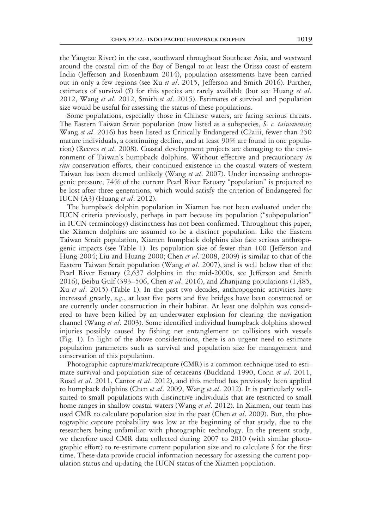the Yangtze River) in the east, southward throughout Southeast Asia, and westward around the coastal rim of the Bay of Bengal to at least the Orissa coast of eastern India (Jefferson and Rosenbaum 2014), population assessments have been carried out in only a few regions (see Xu et al. 2015, Jefferson and Smith 2016). Further, estimates of survival  $(S)$  for this species are rarely available (but see Huang *et al.* 2012, Wang et al. 2012, Smith et al. 2015). Estimates of survival and population size would be useful for assessing the status of these populations.

Some populations, especially those in Chinese waters, are facing serious threats. The Eastern Taiwan Strait population (now listed as a subspecies, S. c. taiwanensis; Wang et al. 2016) has been listed as Critically Endangered (C2aiii, fewer than 250 mature individuals, a continuing decline, and at least 90% are found in one population) (Reeves et al. 2008). Coastal development projects are damaging to the environment of Taiwan's humpback dolphins. Without effective and precautionary in situ conservation efforts, their continued existence in the coastal waters of western Taiwan has been deemed unlikely (Wang et al. 2007). Under increasing anthropogenic pressure, 74% of the current Pearl River Estuary "population" is projected to be lost after three generations, which would satisfy the criterion of Endangered for IUCN (A3) (Huang et al. 2012).

The humpback dolphin population in Xiamen has not been evaluated under the IUCN criteria previously, perhaps in part because its population ("subpopulation" in IUCN terminology) distinctness has not been confirmed. Throughout this paper, the Xiamen dolphins are assumed to be a distinct population. Like the Eastern Taiwan Strait population, Xiamen humpback dolphins also face serious anthropogenic impacts (see Table 1). Its population size of fewer than 100 (Jefferson and Hung 2004; Liu and Huang 2000; Chen et al. 2008, 2009) is similar to that of the Eastern Taiwan Strait population (Wang et al. 2007), and is well below that of the Pearl River Estuary (2,637 dolphins in the mid-2000s, see Jefferson and Smith 2016), Beibu Gulf (393–506, Chen et al. 2016), and Zhanjiang populations  $(1.485, 1.485)$ Xu et al. 2015) (Table 1). In the past two decades, anthropogenic activities have increased greatly, e.g., at least five ports and five bridges have been constructed or are currently under construction in their habitat. At least one dolphin was considered to have been killed by an underwater explosion for clearing the navigation channel (Wang et al. 2003). Some identified individual humpback dolphins showed injuries possibly caused by fishing net entanglement or collisions with vessels (Fig. 1). In light of the above considerations, there is an urgent need to estimate population parameters such as survival and population size for management and conservation of this population.

Photographic capture/mark/recapture (CMR) is a common technique used to estimate survival and population size of cetaceans (Buckland 1990, Conn et al. 2011, Rosel et al. 2011, Cantor et al. 2012), and this method has previously been applied to humpback dolphins (Chen et al. 2009, Wang et al. 2012). It is particularly wellsuited to small populations with distinctive individuals that are restricted to small home ranges in shallow coastal waters (Wang et al. 2012). In Xiamen, our team has used CMR to calculate population size in the past (Chen et al. 2009). But, the photographic capture probability was low at the beginning of that study, due to the researchers being unfamiliar with photographic technology. In the present study, we therefore used CMR data collected during 2007 to 2010 (with similar photographic effort) to re-estimate current population size and to calculate  $S$  for the first time. These data provide crucial information necessary for assessing the current population status and updating the IUCN status of the Xiamen population.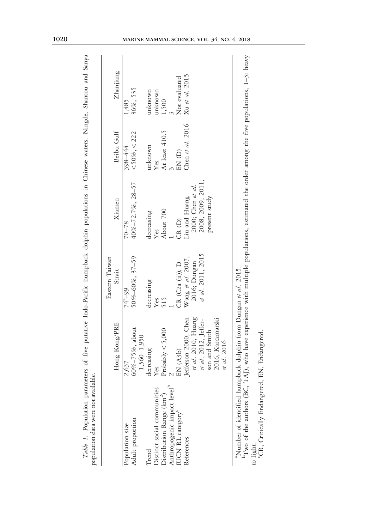|                                                                                                                                                                                                                         |                                    | Eastern Taiwan       |                   |                    |                |  |
|-------------------------------------------------------------------------------------------------------------------------------------------------------------------------------------------------------------------------|------------------------------------|----------------------|-------------------|--------------------|----------------|--|
|                                                                                                                                                                                                                         | Hong Kong/PRE                      | Strait               | Xiamen            | Beibu Gulf         | Zhanjiang      |  |
| Population size                                                                                                                                                                                                         | 2,637                              | 74 <sup>a</sup> -99  | $70 - 78$         | 398-444            | 1,485          |  |
| Adult proportion                                                                                                                                                                                                        | 60%-75%, about<br>1,560-1,950      | 50%-60%, 37-59       | 40%-72.7%, 28-57  | $<$ 50%, $<$ 222   | 36%, 535       |  |
| Trend                                                                                                                                                                                                                   | decreasing                         | decreasing           | decreasing        | unknown            | unknown        |  |
| Distinct social communities                                                                                                                                                                                             | Yes                                | Yes                  | Yes               | Yes                | unknown        |  |
| Distribution Range (km <sup>2</sup> )                                                                                                                                                                                   | Probably $< 5,000$                 | 515                  | About 700         | At least 410.5     | 1,500          |  |
| Anthropogenic impact level <sup>b</sup>                                                                                                                                                                                 |                                    |                      |                   |                    |                |  |
| UCN RL category <sup>c</sup>                                                                                                                                                                                            | EN(A3b)                            | CR (C2a (ii), D      | CR(D)             | EN (D)             | Not evaluated  |  |
| References                                                                                                                                                                                                              | Jefferson 2000, Chen               | Wang et al. $2007$ , | Liu and Huang     | Chen et al. $2016$ | Xu et al. 2015 |  |
|                                                                                                                                                                                                                         | et al. 2010, Huang                 | 2016; Dungan         | 2000; Chen et al. |                    |                |  |
|                                                                                                                                                                                                                         | et al. 2012, Jeffer-               | et al. 2011, 2015    | 2008, 2009, 2011; |                    |                |  |
|                                                                                                                                                                                                                         | 2016, Karczmarski<br>son and Smith |                      | present study     |                    |                |  |
|                                                                                                                                                                                                                         | et al. 2016                        |                      |                   |                    |                |  |
| $\mathbb{P}$ Two of the authors (BC, TAJ), who have experience with multiple populations, estimated the order among the five populations, 1-3: heavy<br>"Number of identified humpback dolphin from Dungan et al. 2015. |                                    |                      |                   |                    |                |  |
| to light.                                                                                                                                                                                                               |                                    |                      |                   |                    |                |  |

Table 1. Population parameters of five putative Indo-Pacific humpback dolphin populations in Chinese waters. Ningde, Shantou and Sanya Table 1. Population parameters of five putative Indo-Pacific humpback dolphin populations in Chinese waters. Ningde, Shantou and Sanya

'CR, Critically Endangered, EN, Endangered. to light.<br><sup>c</sup>CR, Critically Endangered, EN, Endangered.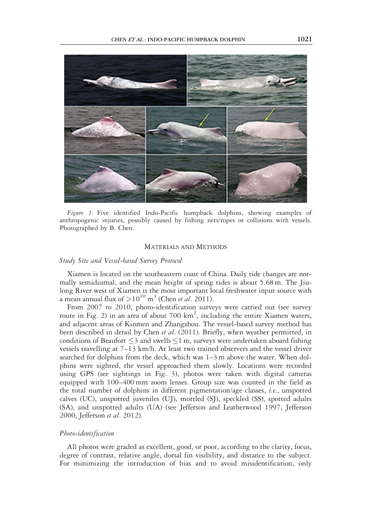

Figure 1. Five identified Indo-Pacific humpback dolphins, showing examples of anthropogenic injuries, possibly caused by fishing nets/ropes or collisions with vessels. Photographed by B. Chen.

## MATERIALS AND METHODS

### Study Site and Vessel-based Survey Protocol

Xiamen is located on the southeastern coast of China. Daily tide changes are normally semidiurnal, and the mean height of spring tides is about 5.68 m. The Jiulong River west of Xiamen is the most important local freshwater input source with a mean annual flux of  $>10^{10}$  m<sup>3</sup> (Chen *et al.* 2011).

From 2007 to 2010, photo-identification surveys were carried out (see survey route in Fig. 2) in an area of about 700  $km^2$ , including the entire Xiamen waters, and adjacent areas of Kinmen and Zhangzhou. The vessel-based survey method has been described in detail by Chen et al. (2011). Briefly, when weather permitted, in conditions of Beaufort  $\leq$ 3 and swells $\leq$ 1 m, surveys were undertaken aboard fishing vessels travelling at 7–13 km/h. At least two trained observers and the vessel driver searched for dolphins from the deck, which was 1–3 m above the water. When dolphins were sighted, the vessel approached them slowly. Locations were recorded using GPS (see sightings in Fig. 3), photos were taken with digital cameras equipped with 100–400 mm zoom lenses. Group size was counted in the field as the total number of dolphins in different pigmentation/age classes, i.e., unspotted calves (UC), unspotted juveniles (UJ), mottled (SJ), speckled (SS), spotted adults (SA), and unspotted adults (UA) (see Jefferson and Leatherwood 1997, Jefferson 2000, Jefferson et al. 2012).

### Photo-identification

All photos were graded as excellent, good, or poor, according to the clarity, focus, degree of contrast, relative angle, dorsal fin visibility, and distance to the subject. For minimizing the introduction of bias and to avoid misidentification, only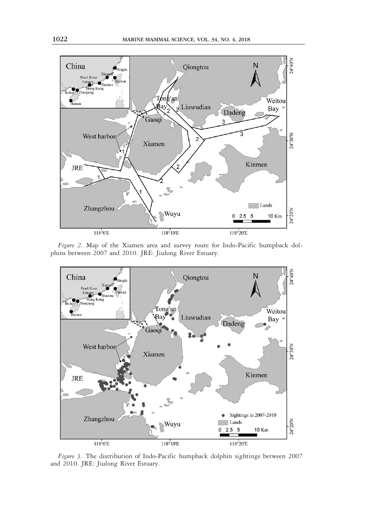

Figure 2. Map of the Xiamen area and survey route for Indo-Pacific humpback dolphins between 2007 and 2010. JRE: Jiulong River Estuary.



Figure 3. The distribution of Indo-Pacific humpback dolphin sightings between 2007 and 2010. JRE: Jiulong River Estuary.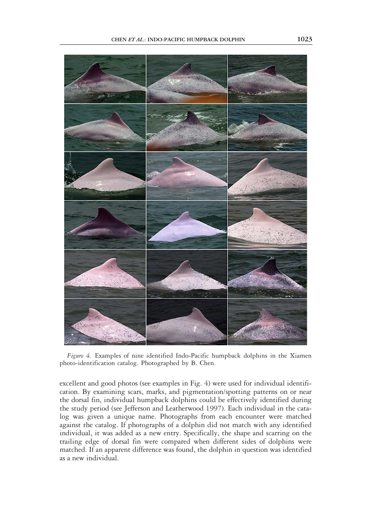

Figure 4. Examples of nine identified Indo-Pacific humpback dolphins in the Xiamen photo-identification catalog. Photographed by B. Chen.

excellent and good photos (see examples in Fig. 4) were used for individual identification. By examining scars, marks, and pigmentation/spotting patterns on or near the dorsal fin, individual humpback dolphins could be effectively identified during the study period (see Jefferson and Leatherwood 1997). Each individual in the catalog was given a unique name. Photographs from each encounter were matched against the catalog. If photographs of a dolphin did not match with any identified individual, it was added as a new entry. Specifically, the shape and scarring on the trailing edge of dorsal fin were compared when different sides of dolphins were matched. If an apparent difference was found, the dolphin in question was identified as a new individual.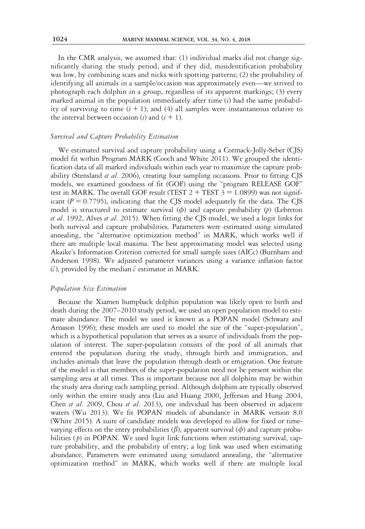In the CMR analysis, we assumed that: (1) individual marks did not change significantly during the study period, and if they did, misidentification probability was low, by combining scars and nicks with spotting patterns; (2) the probability of identifying all animals in a sample/occasion was approximately even—we strived to photograph each dolphin in a group, regardless of its apparent markings; (3) every marked animal in the population immediately after time  $(i)$  had the same probability of surviving to time  $(i + 1)$ ; and  $(4)$  all samples were instantaneous relative to the interval between occasion (i) and  $(i + 1)$ .

# Survival and Capture Probability Estimation

We estimated survival and capture probability using a Cormack-Jolly-Seber (CJS) model fit within Program MARK (Cooch and White 2011). We grouped the identification data of all marked individuals within each year to maximize the capture probability (Stensland et al. 2006), creating four sampling occasions. Prior to fitting CJS models, we examined goodness of fit (GOF) using the "program RELEASE GOF" test in MARK. The overall GOF result (TEST  $2 + TEST$   $3 = 1.0899$ ) was not significant ( $P = 0.7795$ ), indicating that the CJS model adequately fit the data. The CJS model is structured to estimate survival  $(\phi)$  and capture probability  $(\psi)$  (Lebreton et al. 1992, Alves et al. 2015). When fitting the CJS model, we used a logit links for both survival and capture probabilities. Parameters were estimated using simulated annealing, the "alternative optimization method" in MARK, which works well if there are multiple local maxima. The best approximating model was selected using Akaike's Information Criterion corrected for small sample sizes (AICc) (Burnham and Anderson 1998). We adjusted parameter variances using a variance inflation factor  $(\hat{c})$ , provided by the median  $\hat{c}$  estimator in MARK.

# Population Size Estimation

Because the Xiamen humpback dolphin population was likely open to birth and death during the 2007–2010 study period, we used an open population model to estimate abundance. The model we used is known as a POPAN model (Schwarz and Arnason 1996); these models are used to model the size of the "super-population", which is a hypothetical population that serves as a source of individuals from the population of interest. The super-population consists of the pool of all animals that entered the population during the study, through birth and immigration, and includes animals that leave the population through death or emigration. One feature of the model is that members of the super-population need not be present within the sampling area at all times. This is important because not all dolphins may be within the study area during each sampling period. Although dolphins are typically observed only within the entire study area (Liu and Huang 2000, Jefferson and Hung 2004, Chen et al. 2009, Chou et al. 2013), one individual has been observed in adjacent waters (Wu 2013). We fit POPAN models of abundance in MARK version 8.0 (White 2015). A suite of candidate models was developed to allow for fixed or timevarying effects on the entry probabilities  $(\beta)$ , apparent survival  $(\phi)$  and capture probabilities  $(p)$  in POPAN. We used logit link functions when estimating survival, capture probability, and the probability of entry; a log link was used when estimating abundance. Parameters were estimated using simulated annealing, the "alternative optimization method" in MARK, which works well if there are multiple local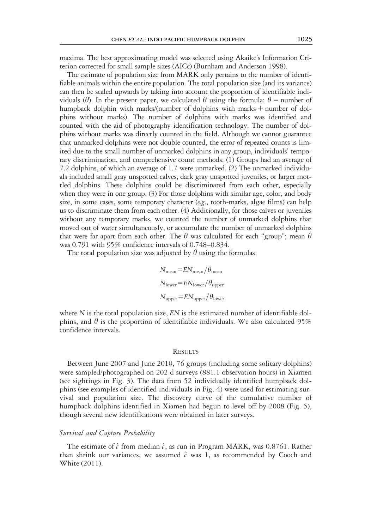maxima. The best approximating model was selected using Akaike's Information Criterion corrected for small sample sizes (AICc) (Burnham and Anderson 1998).

The estimate of population size from MARK only pertains to the number of identifiable animals within the entire population. The total population size (and its variance) can then be scaled upwards by taking into account the proportion of identifiable individuals ( $\theta$ ). In the present paper, we calculated  $\theta$  using the formula:  $\theta$  = number of humpback dolphin with marks/(number of dolphins with marks + number of dolphins without marks). The number of dolphins with marks was identified and counted with the aid of photography identification technology. The number of dolphins without marks was directly counted in the field. Although we cannot guarantee that unmarked dolphins were not double counted, the error of repeated counts is limited due to the small number of unmarked dolphins in any group, individuals' temporary discrimination, and comprehensive count methods: (1) Groups had an average of 7.2 dolphins, of which an average of 1.7 were unmarked. (2) The unmarked individuals included small gray unspotted calves, dark gray unspotted juveniles, or larger mottled dolphins. These dolphins could be discriminated from each other, especially when they were in one group. (3) For those dolphins with similar age, color, and body size, in some cases, some temporary character ( $e.g.,$  tooth-marks, algae films) can help us to discriminate them from each other. (4) Additionally, for those calves or juveniles without any temporary marks, we counted the number of unmarked dolphins that moved out of water simultaneously, or accumulate the number of unmarked dolphins that were far apart from each other. The  $\theta$  was calculated for each "group"; mean  $\theta$ was 0.791 with 95% confidence intervals of 0.748–0.834.

The total population size was adjusted by  $\theta$  using the formulas:

$$
N_{\text{mean}} = EN_{\text{mean}} / \theta_{\text{mean}}
$$
  

$$
N_{\text{lower}} = EN_{\text{lower}} / \theta_{\text{upper}}
$$
  

$$
N_{\text{upper}} = EN_{\text{upper}} / \theta_{\text{lower}}
$$

where  $N$  is the total population size,  $EN$  is the estimated number of identifiable dolphins, and  $\theta$  is the proportion of identifiable individuals. We also calculated 95% confidence intervals.

#### **RESULTS**

Between June 2007 and June 2010, 76 groups (including some solitary dolphins) were sampled/photographed on 202 d surveys (881.1 observation hours) in Xiamen (see sightings in Fig. 3). The data from 52 individually identified humpback dolphins (see examples of identified individuals in Fig. 4) were used for estimating survival and population size. The discovery curve of the cumulative number of humpback dolphins identified in Xiamen had begun to level off by 2008 (Fig. 5), though several new identifications were obtained in later surveys.

# Survival and Capture Probability

The estimate of  $\hat{c}$  from median  $\hat{c}$ , as run in Program MARK, was 0.8761. Rather than shrink our variances, we assumed  $\hat{c}$  was 1, as recommended by Cooch and White (2011).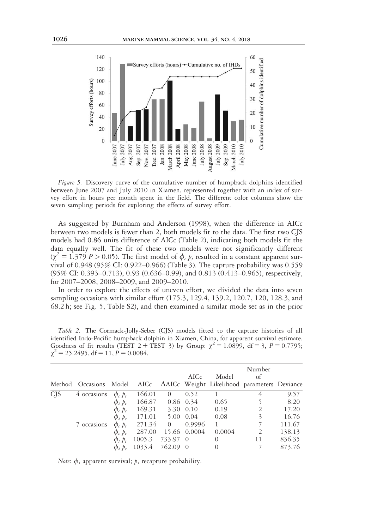

Figure 5. Discovery curve of the cumulative number of humpback dolphins identified between June 2007 and July 2010 in Xiamen, represented together with an index of survey effort in hours per month spent in the field. The different color columns show the seven sampling periods for exploring the effects of survey effort.

As suggested by Burnham and Anderson (1998), when the difference in AICc between two models is fewer than 2, both models fit to the data. The first two CJS models had 0.86 units difference of AICc (Table 2), indicating both models fit the data equally well. The fit of these two models were not significantly different  $(\gamma^2 = 1.379 \, P > 0.05)$ . The first model of  $\phi_c$  *p<sub>t</sub>* resulted in a constant apparent survival of 0.948 (95% CI: 0.922–0.966) (Table 3). The capture probability was 0.559 (95% CI: 0.393–0.713), 0.93 (0.636–0.99), and 0.813 (0.413–0.965), respectively, for 2007–2008, 2008–2009, and 2009–2010.

In order to explore the effects of uneven effort, we divided the data into seven sampling occasions with similar effort (175.3, 129.4, 139.2, 120.7, 120, 128.3, and 68.2 h; see Fig. 5, Table S2), and then examined a similar mode set as in the prior

|                       | Method Occasions | Model                |        |                | AICc         | Model    | Number<br>of<br>AICc AAICc Weight Likelihood parameters Deviance |        |
|-----------------------|------------------|----------------------|--------|----------------|--------------|----------|------------------------------------------------------------------|--------|
| <b>C<sub>IS</sub></b> | 4 occasions      | $\phi_c$ $p_t$       | 166.01 | $\theta$       | 0.52         |          | 4                                                                | 9.57   |
|                       |                  | $\phi_t$ $p_t$       | 166.87 |                | $0.86$ 0.34  | 0.65     |                                                                  | 8.20   |
|                       |                  | $\phi_c$ $\dot{p}_c$ | 169.31 |                | 3.30 0.10    | 0.19     | 2                                                                | 17.20  |
|                       |                  | $\phi_t$ $p_c$       | 171.01 |                | 5.00 0.04    | 0.08     | 3                                                                | 16.76  |
|                       | 7 occasions      | $\phi$ , $p_t$       | 271.34 | $\overline{0}$ | 0.9996       | 1        | 7                                                                | 111.67 |
|                       |                  | $\phi_c$ $\bar{p}_c$ | 287.00 |                | 15.66 0.0004 | 0.0004   | 2                                                                | 138.13 |
|                       |                  | $\phi_t$ $p_t$       | 1005.3 | 733.97 0       |              | $\Omega$ | 11                                                               | 836.35 |
|                       |                  | $\phi$ , $\phi$      | 1033.4 | 762.09 0       |              | $\Omega$ |                                                                  | 873.76 |

Table 2. The Cormack-Jolly-Seber (CJS) models fitted to the capture histories of all identified Indo-Pacific humpback dolphin in Xiamen, China, for apparent survival estimate. Goodness of fit results (TEST 2 + TEST 3) by Group:  $\chi^2 = 1.0899$ , df = 3, P = 0.7795;  $\chi^2$  = 25.2495, df = 11, P = 0.0084.

Note:  $\phi$ , apparent survival; p, recapture probability.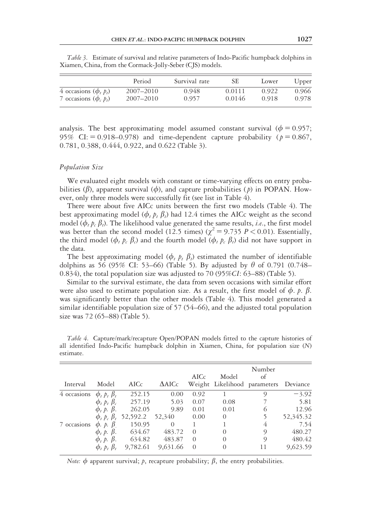|                           | Period    | Survival rate | SЕ     | Lower | Upper |
|---------------------------|-----------|---------------|--------|-------|-------|
| 4 occasions $(\phi, p_t)$ | 2007-2010 | 0.948         | 0.0111 | 0.922 | 0.966 |
| 7 occasions $(\phi, p_t)$ | 2007-2010 | 0.957         | 0.0146 | 0.918 | 0.978 |

Table 3. Estimate of survival and relative parameters of Indo-Pacific humpback dolphins in Xiamen, China, from the Cormack-Jolly-Seber (CJS) models.

analysis. The best approximating model assumed constant survival ( $\phi = 0.957$ ; 95% CI:  $= 0.918 - 0.978$  and time-dependent capture probability ( $p = 0.867$ , 0.781, 0.388, 0.444, 0.922, and 0.622 (Table 3).

# Population Size

We evaluated eight models with constant or time-varying effects on entry probabilities ( $\beta$ ), apparent survival ( $\phi$ ), and capture probabilities ( $\beta$ ) in POPAN. However, only three models were successfully fit (see list in Table 4).

There were about five AICc units between the first two models (Table 4). The best approximating model  $(\phi_t, p_t, \beta_t)$  had 12.4 times the AICc weight as the second model ( $\phi_t$   $p_c$   $\beta_t$ ). The likelihood value generated the same results, *i.e.*, the first model was better than the second model (12.5 times) ( $\chi^2$  = 9.735 P < 0.01). Essentially, the third model ( $\phi_t$   $p_c$   $\beta_c$ ) and the fourth model ( $\phi_t$   $p_c$   $\beta_t$ ) did not have support in the data.

The best approximating model ( $\phi_t$   $p_t$   $\beta_t$ ) estimated the number of identifiable dolphins as 56 (95% CI: 53–66) (Table 5). By adjusted by  $\theta$  of 0.791 (0.748– 0.834), the total population size was adjusted to 70 (95%CI: 63–88) (Table 5).

Similar to the survival estimate, the data from seven occasions with similar effort were also used to estimate population size. As a result, the first model of  $\phi$ . p.  $\beta$ . was significantly better than the other models (Table 4). This model generated a similar identifiable population size of 57 (54–66), and the adjusted total population size was 72 (65–88) (Table 5).

| Interval    | Model                        | AICc            | $\Delta AICc$ | AICc     | Model<br>Weight Likelihood parameters | Number<br>of | Deviance  |
|-------------|------------------------------|-----------------|---------------|----------|---------------------------------------|--------------|-----------|
| 4 occasions | $\phi_t$ $p_t$ $\beta_t$     | 252.15          | 0.00          | 0.92     |                                       | 9            | $-3.92$   |
|             | $\phi_t$ $\beta_t$ $\beta_c$ | 257.19          | 5.03          | 0.07     | 0.08                                  |              | 5.81      |
|             | $\phi_t$ , p. $\beta$ .      | 262.05          | 9.89          | 0.01     | 0.01                                  | 6            | 12.96     |
|             | $\phi_t$ $p_c$ $\beta_t$     | 52,592.2 52,340 |               | 0.00     | $\Omega$                              |              | 52,345.32 |
| 7 occasions | $\phi$ . p. $\beta$          | 150.95          | $\Omega$      |          |                                       | 4            | 7.54      |
|             | $\phi_t$ p. $\beta$ .        | 634.67          | 483.72        | $\Omega$ | $\Omega$                              | 9            | 480.27    |
|             | $\phi_t$ , p. $\beta$ .      | 634.82          | 483.87        | $\Omega$ | $\Omega$                              | $\circ$      | 480.42    |
|             | $\phi$ , $p$ , $\beta$       | 9.782.61        | 9,631.66      | $\Omega$ | $\Omega$                              | 11           | 9,623.59  |

Table 4. Capture/mark/recapture Open/POPAN models fitted to the capture histories of all identified Indo-Pacific humpback dolphin in Xiamen, China, for population size (N) estimate.

*Note:*  $\phi$  apparent survival; p, recapture probability;  $\beta$ , the entry probabilities.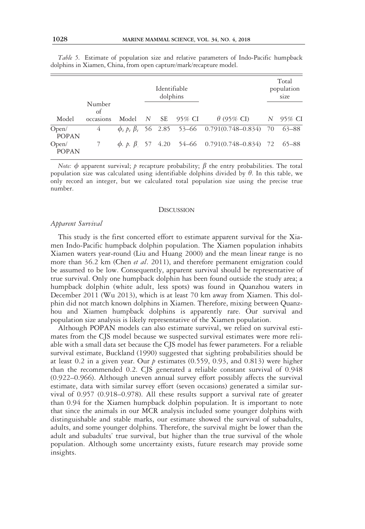|                       |              |       |                  | Identifiable<br>dolphins |        |                                                                    | Total<br>population<br>size |
|-----------------------|--------------|-------|------------------|--------------------------|--------|--------------------------------------------------------------------|-----------------------------|
|                       | Number<br>of |       |                  |                          |        |                                                                    |                             |
| Model                 | occasions    | Model | $\boldsymbol{N}$ | - SE                     | 95% CI | $\theta$ (95% CI)                                                  | N 95% CI                    |
| Open/<br><b>POPAN</b> | 4            |       |                  |                          |        | $\phi_t$ $p_t$ $\beta_t$ 56 2.85 53-66 0.791(0.748-0.834) 70 63-88 |                             |
| Open/<br><b>POPAN</b> |              |       |                  |                          |        | $\phi$ , p, $\beta$ 57 4.20 54–66 0.791(0.748–0.834) 72 65–88      |                             |

Table 5. Estimate of population size and relative parameters of Indo-Pacific humpback dolphins in Xiamen, China, from open capture/mark/recapture model.

Note:  $\phi$  apparent survival; p recapture probability;  $\beta$  the entry probabilities. The total population size was calculated using identifiable dolphins divided by  $\theta$ . In this table, we only record an integer, but we calculated total population size using the precise true number.

#### **DISCUSSION**

### Apparent Survival

This study is the first concerted effort to estimate apparent survival for the Xiamen Indo-Pacific humpback dolphin population. The Xiamen population inhabits Xiamen waters year-round (Liu and Huang 2000) and the mean linear range is no more than 36.2 km (Chen et al. 2011), and therefore permanent emigration could be assumed to be low. Consequently, apparent survival should be representative of true survival. Only one humpback dolphin has been found outside the study area; a humpback dolphin (white adult, less spots) was found in Quanzhou waters in December 2011 (Wu 2013), which is at least 70 km away from Xiamen. This dolphin did not match known dolphins in Xiamen. Therefore, mixing between Quanzhou and Xiamen humpback dolphins is apparently rare. Our survival and population size analysis is likely representative of the Xiamen population.

Although POPAN models can also estimate survival, we relied on survival estimates from the CJS model because we suspected survival estimates were more reliable with a small data set because the CJS model has fewer parameters. For a reliable survival estimate, Buckland (1990) suggested that sighting probabilities should be at least 0.2 in a given year. Our  $p$  estimates (0.559, 0.93, and 0.813) were higher than the recommended 0.2. CJS generated a reliable constant survival of 0.948 (0.922–0.966). Although uneven annual survey effort possibly affects the survival estimate, data with similar survey effort (seven occasions) generated a similar survival of 0.957 (0.918–0.978). All these results support a survival rate of greater than 0.94 for the Xiamen humpback dolphin population. It is important to note that since the animals in our MCR analysis included some younger dolphins with distinguishable and stable marks, our estimate showed the survival of subadults, adults, and some younger dolphins. Therefore, the survival might be lower than the adult and subadults' true survival, but higher than the true survival of the whole population. Although some uncertainty exists, future research may provide some insights.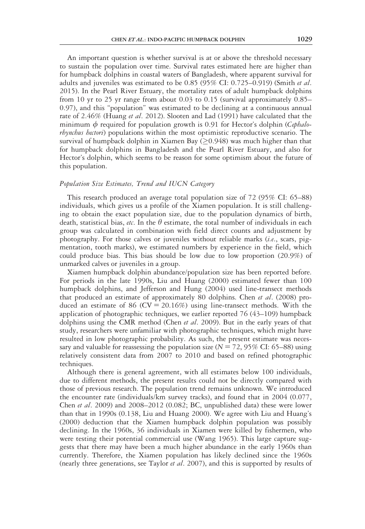An important question is whether survival is at or above the threshold necessary to sustain the population over time. Survival rates estimated here are higher than for humpback dolphins in coastal waters of Bangladesh, where apparent survival for adults and juveniles was estimated to be  $0.85$  (95% CI: 0.725–0.919) (Smith et al. 2015). In the Pearl River Estuary, the mortality rates of adult humpback dolphins from 10 yr to 25 yr range from about 0.03 to 0.15 (survival approximately 0.85– 0.97), and this "population" was estimated to be declining at a continuous annual rate of 2.46% (Huang et al. 2012). Slooten and Lad (1991) have calculated that the minimum  $\phi$  required for population growth is 0.91 for Hector's dolphin (Cephalorhynchus hectori) populations within the most optimistic reproductive scenario. The survival of humpback dolphin in Xiamen Bay  $(20.948)$  was much higher than that for humpback dolphins in Bangladesh and the Pearl River Estuary, and also for Hector's dolphin, which seems to be reason for some optimism about the future of this population.

# Population Size Estimates, Trend and IUCN Category

This research produced an average total population size of 72 (95% CI: 65–88) individuals, which gives us a profile of the Xiamen population. It is still challenging to obtain the exact population size, due to the population dynamics of birth, death, statistical bias, *etc*. In the  $\theta$  estimate, the total number of individuals in each group was calculated in combination with field direct counts and adjustment by photography. For those calves or juveniles without reliable marks  $(i.e.,$  scars, pigmentation, tooth marks), we estimated numbers by experience in the field, which could produce bias. This bias should be low due to low proportion (20.9%) of unmarked calves or juveniles in a group.

Xiamen humpback dolphin abundance/population size has been reported before. For periods in the late 1990s, Liu and Huang (2000) estimated fewer than 100 humpback dolphins, and Jefferson and Hung (2004) used line-transect methods that produced an estimate of approximately 80 dolphins. Chen et al. (2008) produced an estimate of 86 ( $CV = 20.16\%$ ) using line-transect methods. With the application of photographic techniques, we earlier reported 76 (43–109) humpback dolphins using the CMR method (Chen *et al.* 2009). But in the early years of that study, researchers were unfamiliar with photographic techniques, which might have resulted in low photographic probability. As such, the present estimate was necessary and valuable for reassessing the population size ( $N = 72,95\%$  CI: 65–88) using relatively consistent data from 2007 to 2010 and based on refined photographic techniques.

Although there is general agreement, with all estimates below 100 individuals, due to different methods, the present results could not be directly compared with those of previous research. The population trend remains unknown. We introduced the encounter rate (individuals/km survey tracks), and found that in 2004 (0.077, Chen et al. 2009) and 2008–2012 (0.082; BC, unpublished data) these were lower than that in 1990s (0.138, Liu and Huang 2000). We agree with Liu and Huang's (2000) deduction that the Xiamen humpback dolphin population was possibly declining. In the 1960s, 36 individuals in Xiamen were killed by fishermen, who were testing their potential commercial use (Wang 1965). This large capture suggests that there may have been a much higher abundance in the early 1960s than currently. Therefore, the Xiamen population has likely declined since the 1960s (nearly three generations, see Taylor et al. 2007), and this is supported by results of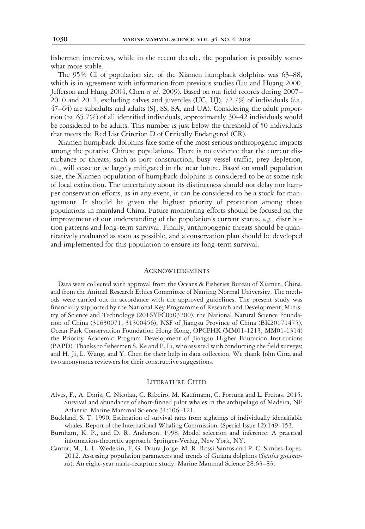fishermen interviews, while in the recent decade, the population is possibly somewhat more stable.

The 95% CI of population size of the Xiamen humpback dolphins was 63–88, which is in agreement with information from previous studies (Liu and Huang 2000, Jefferson and Hung 2004, Chen et al. 2009). Based on our field records during 2007– 2010 and 2012, excluding calves and juveniles (UC, UJ), 72.7% of individuals (i.e., 47–64) are subadults and adults (SJ, SS, SA, and UA). Considering the adult proportion (ca. 65.7%) of all identified individuals, approximately 30–42 individuals would be considered to be adults. This number is just below the threshold of 50 individuals that meets the Red List Criterion D of Critically Endangered (CR).

Xiamen humpback dolphins face some of the most serious anthropogenic impacts among the putative Chinese populations. There is no evidence that the current disturbance or threats, such as port construction, busy vessel traffic, prey depletion, etc., will cease or be largely mitigated in the near future. Based on small population size, the Xiamen population of humpback dolphins is considered to be at some risk of local extinction. The uncertainty about its distinctness should not delay nor hamper conservation efforts, as in any event, it can be considered to be a stock for management. It should be given the highest priority of protection among those populations in mainland China. Future monitoring efforts should be focused on the improvement of our understanding of the population's current status,  $e.g.,$  distribution patterns and long-term survival. Finally, anthropogenic threats should be quantitatively evaluated as soon as possible, and a conservation plan should be developed and implemented for this population to ensure its long-term survival.

#### **ACKNOWLEDGMENTS**

Data were collected with approval from the Oceans & Fisheries Bureau of Xiamen, China, and from the Animal Research Ethics Committee of Nanjing Normal University. The methods were carried out in accordance with the approved guidelines. The present study was financially supported by the National Key Programme of Research and Development, Ministry of Science and Technology (2016YFC0503200), the National Natural Science Foundation of China (31630071, 31300456), NSF of Jiangsu Province of China (BK20171475), Ocean Park Conservation Foundation Hong Kong, OPCFHK (MM01-1213, MM01-1314) the Priority Academic Program Development of Jiangsu Higher Education Institutions (PAPD). Thanks to fishermen S. Ke and P. Li, who assisted with conducting the field surveys; and H. Ji, L. Wang, and Y. Chen for their help in data collection. We thank John Citta and two anonymous reviewers for their constructive suggestions.

## LITERATURE CITED

- Alves, F., A. Dinis, C. Nicolau, C. Ribeiro, M. Kaufmann, C. Fortuna and L. Freitas. 2015. Survival and abundance of short-finned pilot whales in the archipelago of Madeira, NE Atlantic. Marine Mammal Science 31:106–121.
- Buckland, S. T. 1990. Estimation of survival rates from sightings of individually identifiable whales. Report of the International Whaling Commission. (Special Issue 12):149–153.
- Burnham, K. P., and D. R. Anderson. 1998. Model selection and inference: A practical information-theoretic approach. Springer-Verlag, New York, NY.
- Cantor, M., L. L. Wedekin, F. G. Daura-Jorge, M. R. Rossi-Santos and P. C. Simões-Lopes. 2012. Assessing population parameters and trends of Guiana dolphins (Sotalia guianensis): An eight-year mark-recapture study. Marine Mammal Science 28:63-83.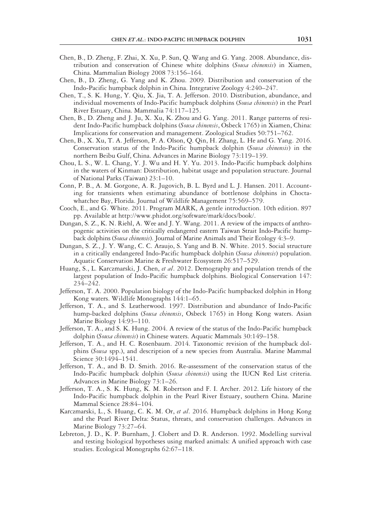- Chen, B., D. Zheng, F. Zhai, X. Xu, P. Sun, Q. Wang and G. Yang. 2008. Abundance, distribution and conservation of Chinese white dolphins (Sousa chinensis) in Xiamen, China. Mammalian Biology 2008 73:156–164.
- Chen, B., D. Zheng, G. Yang and K. Zhou. 2009. Distribution and conservation of the Indo-Pacific humpback dolphin in China. Integrative Zoology 4:240–247.
- Chen, T., S. K. Hung, Y. Qiu, X. Jia, T. A. Jefferson. 2010. Distribution, abundance, and individual movements of Indo-Pacific humpback dolphins (Sousa chinensis) in the Pearl River Estuary, China. Mammalia 74:117–125.
- Chen, B., D. Zheng and J. Ju, X. Xu, K. Zhou and G. Yang. 2011. Range patterns of resident Indo-Pacific humpback dolphins (Sousa chinensis, Osbeck 1765) in Xiamen, China: Implications for conservation and management. Zoological Studies 50:751–762.
- Chen, B., X. Xu, T. A. Jefferson, P. A. Olson, Q. Qin, H. Zhang, L. He and G. Yang. 2016. Conservation status of the Indo-Pacific humpback dolphin (Sousa chinensis) in the northern Beibu Gulf, China. Advances in Marine Biology 73:119–139.
- Chou, L. S., W. L. Chang, Y. J. Wu and H. Y. Yu. 2013. Indo-Pacific humpback dolphins in the waters of Kinman: Distribution, habitat usage and population structure. Journal of National Parks (Taiwan) 23:1–10.
- Conn, P. B., A. M. Gorgone, A. R. Jugovich, B. L. Byrd and L. J. Hansen. 2011. Accounting for transients when estimating abundance of bottlenose dolphins in Choctawhatchee Bay, Florida. Journal of Wildlife Management 75:569–579.
- Cooch, E., and G. White. 2011. Program MARK, A gentle introduction. 10th edition. 897 pp. Available at http://www.phidot.org/software/mark/docs/book/.
- Dungan, S. Z., K. N. Riehl, A. Wee and J. Y. Wang. 2011. A review of the impacts of anthropogenic activities on the critically endangered eastern Taiwan Strait Indo-Pacific humpback dolphins (Sousa chinensis). Journal of Marine Animals and Their Ecology 4:3–9.
- Dungan, S. Z., J. Y. Wang, C. C. Araujo, S. Yang and B. N. White. 2015. Social structure in a critically endangered Indo-Pacific humpback dolphin (Sousa chinensis) population. Aquatic Conservation Marine & Freshwater Ecosystem 26:517–529.
- Huang, S., L. Karczmarski, J. Chen, et al. 2012. Demography and population trends of the largest population of Indo-Pacific humpback dolphins. Biological Conservation 147: 234–242.
- Jefferson, T. A. 2000. Population biology of the Indo-Pacific humpbacked dolphin in Hong Kong waters. Wildlife Monographs 144:1–65.
- Jefferson, T. A., and S. Leatherwood. 1997. Distribution and abundance of Indo-Pacific hump-backed dolphins (Sousa chinensis, Osbeck 1765) in Hong Kong waters. Asian Marine Biology 14:93–110.
- Jefferson, T. A., and S. K. Hung. 2004. A review of the status of the Indo-Pacific humpback dolphin (Sousa chinensis) in Chinese waters. Aquatic Mammals 30:149-158.
- Jefferson, T. A., and H. C. Rosenbaum. 2014. Taxonomic revision of the humpback dolphins (Sousa spp.), and description of a new species from Australia. Marine Mammal Science 30:1494–1541.
- Jefferson, T. A., and B. D. Smith. 2016. Re-assessment of the conservation status of the Indo-Pacific humpback dolphin (Sousa chinensis) using the IUCN Red List criteria. Advances in Marine Biology 73:1–26.
- Jefferson, T. A., S. K. Hung, K. M. Robertson and F. I. Archer. 2012. Life history of the Indo-Pacific humpback dolphin in the Pearl River Estuary, southern China. Marine Mammal Science 28:84–104.
- Karczmarski, L., S. Huang, C. K. M. Or, et al. 2016. Humpback dolphins in Hong Kong and the Pearl River Delta: Status, threats, and conservation challenges. Advances in Marine Biology 73:27–64.
- Lebreton, J. D., K. P. Burnham, J. Clobert and D. R. Anderson. 1992. Modelling survival and testing biological hypotheses using marked animals: A unified approach with case studies. Ecological Monographs 62:67–118.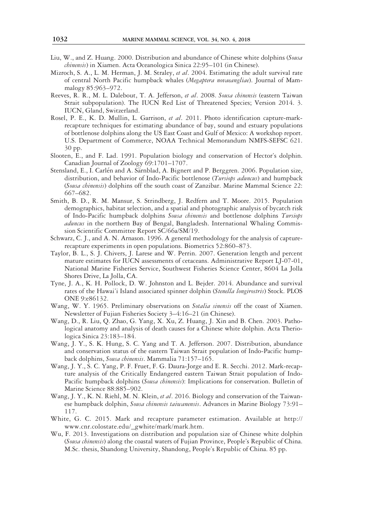- Liu, W., and Z. Huang. 2000. Distribution and abundance of Chinese white dolphins (Sousa chinensis) in Xiamen. Acta Oceanologica Sinica 22:95–101 (in Chinese).
- Mizroch, S. A., L. M. Herman, J. M. Straley, et al. 2004. Estimating the adult survival rate of central North Pacific humpback whales (Megaptera novaeangliae). Journal of Mammalogy 85:963–972.
- Reeves, R. R., M. L. Dalebout, T. A. Jefferson, et al. 2008. Sousa chinensis (eastern Taiwan Strait subpopulation). The IUCN Red List of Threatened Species; Version 2014. 3. IUCN, Gland, Switzerland.
- Rosel, P. E., K. D. Mullin, L. Garrison, et al. 2011. Photo identification capture-markrecapture techniques for estimating abundance of bay, sound and estuary populations of bottlenose dolphins along the US East Coast and Gulf of Mexico: A workshop report. U.S. Department of Commerce, NOAA Technical Memorandum NMFS-SEFSC 621. 30 pp.
- Slooten, E., and F. Lad. 1991. Population biology and conservation of Hector's dolphin. Canadian Journal of Zoology 69:1701–1707.
- Stensland, E., I. Carlén and A. Särnblad, A. Bignert and P. Berggren. 2006. Population size, distribution, and behavior of Indo-Pacific bottlenose (Tursiops aduncus) and humpback (Sousa chinensis) dolphins off the south coast of Zanzibar. Marine Mammal Science 22: 667–682.
- Smith, B. D., R. M. Mansur, S. Strindberg, J. Redfern and T. Moore. 2015. Population demographics, habitat selection, and a spatial and photographic analysis of bycatch risk of Indo-Pacific humpback dolphins Sousa chinensis and bottlenose dolphins Tursiops aduncus in the northern Bay of Bengal, Bangladesh. International Whaling Commission Scientific Committee Report SC/66a/SM/19.
- Schwarz, C. J., and A. N. Arnason. 1996. A general methodology for the analysis of capturerecapture experiments in open populations. Biometrics 52:860–873.
- Taylor, B. L., S. J. Chivers, J. Larese and W. Perrin. 2007. Generation length and percent mature estimates for IUCN assessments of cetaceans. Administrative Report LJ-07-01, National Marine Fisheries Service, Southwest Fisheries Science Center, 8604 La Jolla Shores Drive, La Jolla, CA.
- Tyne, J. A., K. H. Pollock, D. W. Johnston and L. Bejder. 2014. Abundance and survival rates of the Hawai'i Island associated spinner dolphin (Stenella longirostris) Stock. PLOS ONE 9:e86132.
- Wang, W. Y. 1965. Preliminary observations on *Sotalia sinensis* off the coast of Xiamen. Newsletter of Fujian Fisheries Society 3–4:16–21 (in Chinese).
- Wang, D., R. Liu, Q. Zhao, G. Yang, X. Xu, Z. Huang, J. Xin and B. Chen. 2003. Pathological anatomy and analysis of death causes for a Chinese white dolphin. Acta Theriologica Sinica 23:183–184.
- Wang, J. Y., S. K. Hung, S. C. Yang and T. A. Jefferson. 2007. Distribution, abundance and conservation status of the eastern Taiwan Strait population of Indo-Pacific humpback dolphins, Sousa chinensis. Mammalia 71:157–165.
- Wang, J. Y., S. C. Yang, P. F. Fruet, F. G. Daura-Jorge and E. R. Secchi. 2012. Mark-recapture analysis of the Critically Endangered eastern Taiwan Strait population of Indo-Pacific humpback dolphins (Sousa chinensis): Implications for conservation. Bulletin of Marine Science 88:885–902.
- Wang, J. Y., K. N. Riehl, M. N. Klein, et al. 2016. Biology and conservation of the Taiwanese humpback dolphin, Sousa chinensis taiwanensis. Advances in Marine Biology 73:91-117.
- White, G. C. 2015. Mark and recapture parameter estimation. Available at http:// www.cnr.colostate.edu/\_gwhite/mark/mark.htm.
- Wu, F. 2013. Investigations on distribution and population size of Chinese white dolphin (Sousa chinensis) along the coastal waters of Fujian Province, People's Republic of China. M.Sc. thesis, Shandong University, Shandong, People's Republic of China. 85 pp.